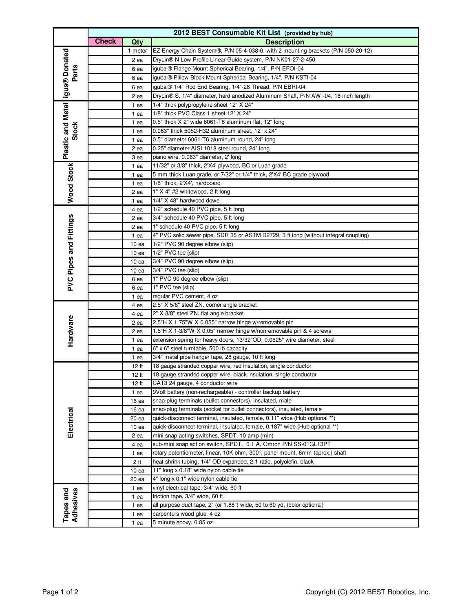|                                                     |              | 2012 BEST Consumable Kit List (provided by hub) |                                                                                                                                   |  |  |
|-----------------------------------------------------|--------------|-------------------------------------------------|-----------------------------------------------------------------------------------------------------------------------------------|--|--|
|                                                     | <b>Check</b> | Qty                                             | <b>Description</b>                                                                                                                |  |  |
| Wood Stock Plastic and Metal igus® Donated<br>Parts |              | 1 meter                                         | EZ Energy Chain System®, P/N 05-4-038-0, with 2 mounting brackets (P/N 050-20-12)                                                 |  |  |
|                                                     |              | 2 ea                                            | DryLin® N Low Profile Linear Guide system, P/N NK01-27-2-450                                                                      |  |  |
|                                                     |              | 6 ea                                            | igubal® Flange Mount Spherical Bearing, 1/4", P/N EFOI-04                                                                         |  |  |
|                                                     |              | 6 ea                                            | igubal® Pillow Block Mount Spherical Bearing, 1/4", P/N KSTI-04                                                                   |  |  |
|                                                     |              | 6 ea                                            | igubal® 1/4" Rod End Bearing, 1/4"-28 Thread, P/N EBRI-04                                                                         |  |  |
|                                                     |              | 2 ea                                            | DryLin® S, 1/4" diameter, hard anodized Aluminum Shaft, P/N AWI-04, 18 inch length                                                |  |  |
|                                                     |              | 1 ea                                            | 1/4" thick polypropylene sheet 12" X 24"                                                                                          |  |  |
|                                                     |              | 1 ea                                            | 1/8" thick PVC Class 1 sheet 12" X 24"                                                                                            |  |  |
|                                                     |              | 1 ea                                            | 0.5" thick X 2" wide 6061-T6 aluminum flat, 12" long                                                                              |  |  |
| <b>Stock</b>                                        |              | 1 ea                                            | 0.063" thick 5052-H32 aluminum sheet, 12" x 24"                                                                                   |  |  |
|                                                     |              | 1 ea                                            | 0.5" diameter 6061-T6 aluminum round, 24" long                                                                                    |  |  |
|                                                     |              | 2 ea                                            | 0.25" diameter AISI 1018 steel round, 24" long                                                                                    |  |  |
|                                                     |              | 3 ea                                            | piano wire, 0.063" diameter, 2' long                                                                                              |  |  |
|                                                     |              | 1 ea                                            | 11/32" or 3/8" thick, 2'X4' plywood, BC or Luan grade                                                                             |  |  |
|                                                     |              | 1 ea                                            | 5 mm thick Luan grade, or 7/32" or 1/4" thick, 2'X4' BC grade plywood                                                             |  |  |
|                                                     |              | 1 ea                                            | 1/8" thick, 2'X4', hardboard                                                                                                      |  |  |
|                                                     |              | 2 ea                                            | 1" X 4" #2 whitewood, 2 ft long                                                                                                   |  |  |
|                                                     |              | 1 ea                                            | 1/4" X 48" hardwood dowel                                                                                                         |  |  |
|                                                     |              | 4 ea                                            | 1/2" schedule 40 PVC pipe, 5 ft long                                                                                              |  |  |
|                                                     |              | 2 ea                                            | 3/4" schedule 40 PVC pipe, 5 ft long                                                                                              |  |  |
|                                                     |              | 2 ea                                            | 1" schedule 40 PVC pipe, 5 ft long                                                                                                |  |  |
|                                                     |              | 1 ea                                            | 4" PVC solid sewer pipe, SDR 35 or ASTM D2729, 3 ft long (without integral coupling)                                              |  |  |
|                                                     |              | 10 <sub>ea</sub>                                | 1/2" PVC 90 degree elbow (slip)                                                                                                   |  |  |
|                                                     |              | 10 <sub>ea</sub>                                | 1/2" PVC tee (slip)                                                                                                               |  |  |
|                                                     |              | 10 <sub>ea</sub>                                | 3/4" PVC 90 degree elbow (slip)                                                                                                   |  |  |
|                                                     |              | 10 <sub>ea</sub>                                | 3/4" PVC tee (slip)                                                                                                               |  |  |
| PVC Pipes and Fittings                              |              | 6 ea                                            | 1" PVC 90 degree elbow (slip)                                                                                                     |  |  |
|                                                     |              | 6 ea                                            | 1" PVC tee (slip)                                                                                                                 |  |  |
|                                                     |              | 1 ea                                            | regular PVC cement, 4 oz                                                                                                          |  |  |
|                                                     |              | 4 ea                                            | 2.5" X 5/8" steel ZN, corner angle bracket                                                                                        |  |  |
|                                                     |              | 4 ea                                            | 2" X 3/8" steel ZN, flat angle bracket                                                                                            |  |  |
| Hardware                                            |              | 2 ea                                            | 2.5"H X 1.75"W X 0.055" narrow hinge w/removable pin                                                                              |  |  |
|                                                     |              | 2 ea                                            | 1.5"H X 1-3/8"W X 0.05" narrow hinge w/nonremovable pin & 4 screws                                                                |  |  |
|                                                     |              | 1 ea                                            | extension spring for heavy doors, 13/32"OD, 0.0625" wire diameter, steel                                                          |  |  |
|                                                     |              | 1 ea                                            | 6" x 6" steel turntable, 500 lb capacity                                                                                          |  |  |
|                                                     |              | 1 ea                                            | 3/4" metal pipe hanger tape, 28 gauge, 10 ft long                                                                                 |  |  |
|                                                     |              | 12 ft                                           | 18 gauge stranded copper wire, red insulation, single conductor                                                                   |  |  |
|                                                     |              | 12 ft                                           | 18 gauge stranded copper wire, black insulation, single conductor                                                                 |  |  |
|                                                     |              | 12 ft                                           | CAT3 24 gauge, 4 conductor wire<br>9Volt battery (non-rechargeable) - controller backup battery                                   |  |  |
|                                                     |              | 1 ea                                            |                                                                                                                                   |  |  |
|                                                     |              | 16 <sub>ea</sub>                                | snap-plug terminals (bullet connectors), insulated, male<br>snap-plug terminals (socket for bullet connectors), insulated, female |  |  |
| Electrical                                          |              | 16 ea<br>20 ea                                  | quick-disconnect terminal, insulated, female, 0.11" wide (Hub optional **)                                                        |  |  |
|                                                     |              |                                                 | quick-disconnect terminal, insulated, female, 0.187" wide (Hub optional **)                                                       |  |  |
|                                                     |              | 10 <sub>ea</sub><br>2 ea                        | mini snap acting switches, SPDT, 10 amp (min)                                                                                     |  |  |
|                                                     |              | 4 ea                                            | sub-mini snap action switch, SPDT, 0.1 A, Omron P/N SS-01GL13PT                                                                   |  |  |
|                                                     |              | 1 ea                                            | rotary potentiometer, linear, 10K ohm, 300°, panel mount, 6mm (aprox.) shaft                                                      |  |  |
|                                                     |              | 2 ft                                            | heat shrink tubing, 1/4" OD expanded, 2:1 ratio, polyolefin, black                                                                |  |  |
|                                                     |              | 10 <sub>ea</sub>                                | 11" long $\times$ 0.18" wide nylon cable tie                                                                                      |  |  |
|                                                     |              | 20 ea                                           | 4" long x 0.1" wide nylon cable tie                                                                                               |  |  |
|                                                     |              | 1 ea                                            | vinyl electrical tape, 3/4" wide, 60 ft                                                                                           |  |  |
| Tapes and<br>Adhesives                              |              | 1 ea                                            | friction tape, 3/4" wide, 60 ft                                                                                                   |  |  |
|                                                     |              | 1 ea                                            | all purpose duct tape, 2" (or 1.88") wide, 50 to 60 yd, (color optional)                                                          |  |  |
|                                                     |              | 1 ea                                            | carpenters wood glue, 4 oz                                                                                                        |  |  |
|                                                     |              | 1 ea                                            | 5 minute epoxy, 0.85 oz                                                                                                           |  |  |